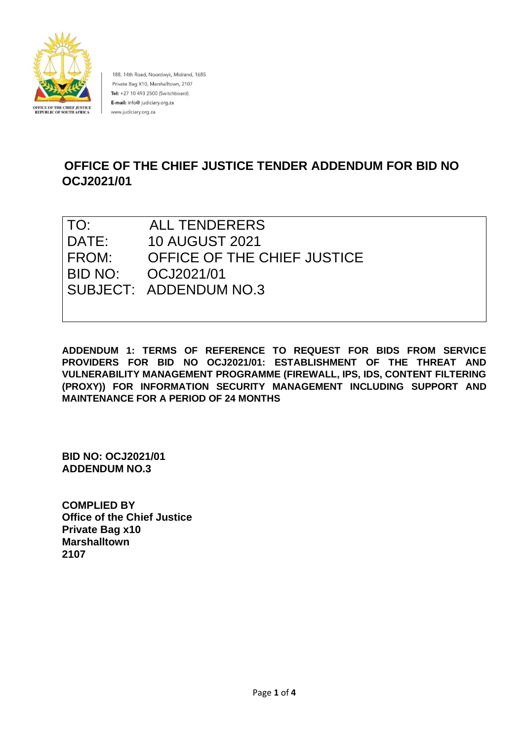

188, 14th Road, Noordwyk, Midrand, 1685 Private Bag X10, Marshalltown, 2107 Tel: +27 10 493 2500 (Switchboard) E-mail: info@ judiciary.org.za www.judiciary.org.za

# **OFFICE OF THE CHIEF JUSTICE TENDER ADDENDUM FOR BID NO OCJ2021/01**

| TO:   | <b>ALL TENDERERS</b>        |
|-------|-----------------------------|
| DATE: | <b>10 AUGUST 2021</b>       |
| FROM: | OFFICE OF THE CHIEF JUSTICE |
|       |                             |
|       | SUBJECT: ADDENDUM NO.3      |
|       |                             |

**ADDENDUM 1: TERMS OF REFERENCE TO REQUEST FOR BIDS FROM SERVICE PROVIDERS FOR BID NO OCJ2021/01: ESTABLISHMENT OF THE THREAT AND VULNERABILITY MANAGEMENT PROGRAMME (FIREWALL, IPS, IDS, CONTENT FILTERING (PROXY)) FOR INFORMATION SECURITY MANAGEMENT INCLUDING SUPPORT AND MAINTENANCE FOR A PERIOD OF 24 MONTHS** 

**BID NO: OCJ2021/01 ADDENDUM NO.3**

**COMPLIED BY Office of the Chief Justice Private Bag x10 Marshalltown 2107**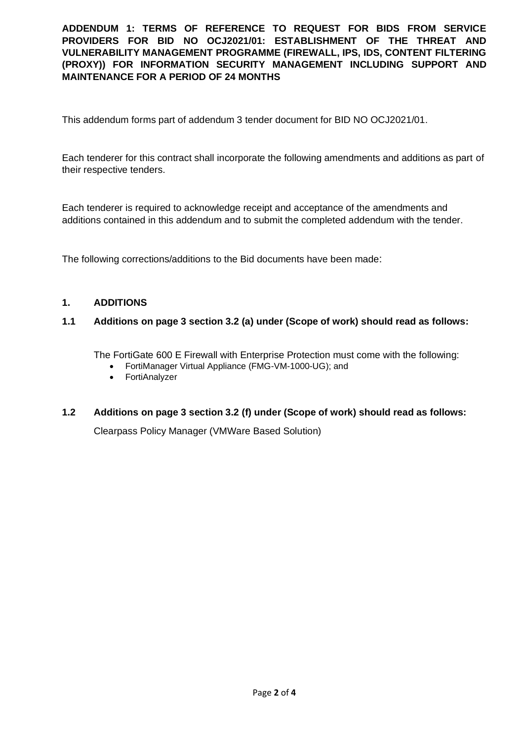**ADDENDUM 1: TERMS OF REFERENCE TO REQUEST FOR BIDS FROM SERVICE PROVIDERS FOR BID NO OCJ2021/01: ESTABLISHMENT OF THE THREAT AND VULNERABILITY MANAGEMENT PROGRAMME (FIREWALL, IPS, IDS, CONTENT FILTERING (PROXY)) FOR INFORMATION SECURITY MANAGEMENT INCLUDING SUPPORT AND MAINTENANCE FOR A PERIOD OF 24 MONTHS**

This addendum forms part of addendum 3 tender document for BID NO OCJ2021/01.

Each tenderer for this contract shall incorporate the following amendments and additions as part of their respective tenders.

Each tenderer is required to acknowledge receipt and acceptance of the amendments and additions contained in this addendum and to submit the completed addendum with the tender.

The following corrections/additions to the Bid documents have been made:

#### **1. ADDITIONS**

## **1.1 Additions on page 3 section 3.2 (a) under (Scope of work) should read as follows:**

The FortiGate 600 E Firewall with Enterprise Protection must come with the following:

- FortiManager Virtual Appliance (FMG-VM-1000-UG); and
- FortiAnalyzer

## **1.2 Additions on page 3 section 3.2 (f) under (Scope of work) should read as follows:**

Clearpass Policy Manager (VMWare Based Solution)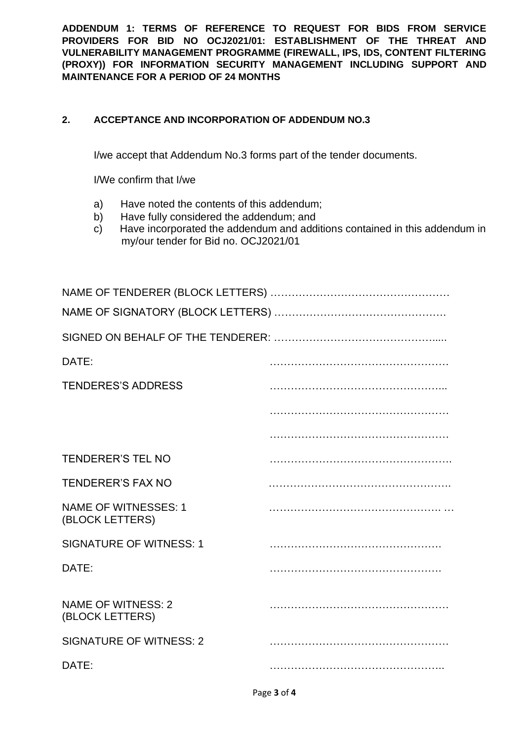**ADDENDUM 1: TERMS OF REFERENCE TO REQUEST FOR BIDS FROM SERVICE PROVIDERS FOR BID NO OCJ2021/01: ESTABLISHMENT OF THE THREAT AND VULNERABILITY MANAGEMENT PROGRAMME (FIREWALL, IPS, IDS, CONTENT FILTERING (PROXY)) FOR INFORMATION SECURITY MANAGEMENT INCLUDING SUPPORT AND MAINTENANCE FOR A PERIOD OF 24 MONTHS**

# **2. ACCEPTANCE AND INCORPORATION OF ADDENDUM NO.3**

I/we accept that Addendum No.3 forms part of the tender documents.

I/We confirm that I/we

- a) Have noted the contents of this addendum;
- b) Have fully considered the addendum; and
- c) Have incorporated the addendum and additions contained in this addendum in my/our tender for Bid no. OCJ2021/01

| DATE:                                          |  |
|------------------------------------------------|--|
| <b>TENDERES'S ADDRESS</b>                      |  |
|                                                |  |
|                                                |  |
| <b>TENDERER'S TEL NO</b>                       |  |
| <b>TENDERER'S FAX NO</b>                       |  |
| <b>NAME OF WITNESSES: 1</b><br>(BLOCK LETTERS) |  |
| <b>SIGNATURE OF WITNESS: 1</b>                 |  |
| DATE:                                          |  |
| <b>NAME OF WITNESS: 2</b><br>(BLOCK LETTERS)   |  |
| <b>SIGNATURE OF WITNESS: 2</b>                 |  |
| DATE:                                          |  |